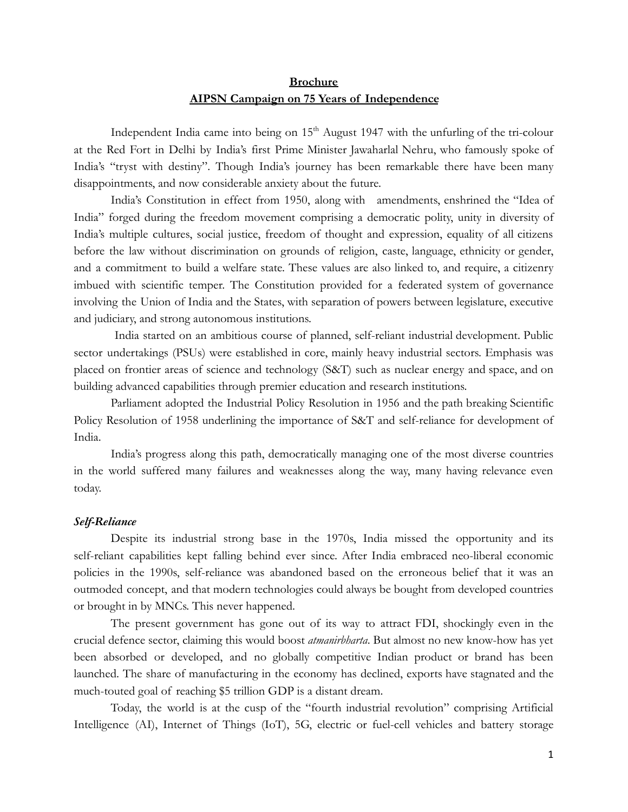# **Brochure AIPSN Campaign on 75 Years of Independence**

Independent India came into being on  $15<sup>th</sup>$  August 1947 with the unfurling of the tri-colour at the Red Fort in Delhi by India's first Prime Minister Jawaharlal Nehru, who famously spoke of India's "tryst with destiny". Though India's journey has been remarkable there have been many disappointments, and now considerable anxiety about the future.

India's Constitution in effect from 1950, along with amendments, enshrined the "Idea of India" forged during the freedom movement comprising a democratic polity, unity in diversity of India's multiple cultures, social justice, freedom of thought and expression, equality of all citizens before the law without discrimination on grounds of religion, caste, language, ethnicity or gender, and a commitment to build a welfare state. These values are also linked to, and require, a citizenry imbued with scientific temper. The Constitution provided for a federated system of governance involving the Union of India and the States, with separation of powers between legislature, executive and judiciary, and strong autonomous institutions.

India started on an ambitious course of planned, self-reliant industrial development. Public sector undertakings (PSUs) were established in core, mainly heavy industrial sectors. Emphasis was placed on frontier areas of science and technology (S&T) such as nuclear energy and space, and on building advanced capabilities through premier education and research institutions.

Parliament adopted the Industrial Policy Resolution in 1956 and the path breaking Scientific Policy Resolution of 1958 underlining the importance of S&T and self-reliance for development of India.

India's progress along this path, democratically managing one of the most diverse countries in the world suffered many failures and weaknesses along the way, many having relevance even today.

# *Self-Reliance*

Despite its industrial strong base in the 1970s, India missed the opportunity and its self-reliant capabilities kept falling behind ever since. After India embraced neo-liberal economic policies in the 1990s, self-reliance was abandoned based on the erroneous belief that it was an outmoded concept, and that modern technologies could always be bought from developed countries or brought in by MNCs. This never happened.

The present government has gone out of its way to attract FDI, shockingly even in the crucial defence sector, claiming this would boost *atmanirbharta*. But almost no new know-how has yet been absorbed or developed, and no globally competitive Indian product or brand has been launched. The share of manufacturing in the economy has declined, exports have stagnated and the much-touted goal of reaching \$5 trillion GDP is a distant dream.

Today, the world is at the cusp of the "fourth industrial revolution" comprising Artificial Intelligence (AI), Internet of Things (IoT), 5G, electric or fuel-cell vehicles and battery storage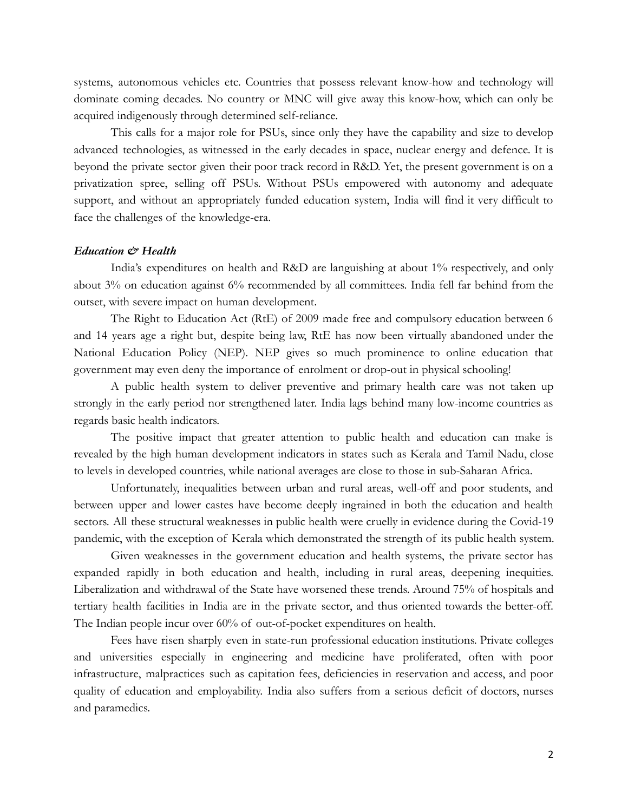systems, autonomous vehicles etc. Countries that possess relevant know-how and technology will dominate coming decades. No country or MNC will give away this know-how, which can only be acquired indigenously through determined self-reliance.

This calls for a major role for PSUs, since only they have the capability and size to develop advanced technologies, as witnessed in the early decades in space, nuclear energy and defence. It is beyond the private sector given their poor track record in R&D. Yet, the present government is on a privatization spree, selling off PSUs. Without PSUs empowered with autonomy and adequate support, and without an appropriately funded education system, India will find it very difficult to face the challenges of the knowledge-era.

#### *Education & Health*

India's expenditures on health and R&D are languishing at about 1% respectively, and only about 3% on education against 6% recommended by all committees. India fell far behind from the outset, with severe impact on human development.

The Right to Education Act (RtE) of 2009 made free and compulsory education between 6 and 14 years age a right but, despite being law, RtE has now been virtually abandoned under the National Education Policy (NEP). NEP gives so much prominence to online education that government may even deny the importance of enrolment or drop-out in physical schooling!

A public health system to deliver preventive and primary health care was not taken up strongly in the early period nor strengthened later. India lags behind many low-income countries as regards basic health indicators.

The positive impact that greater attention to public health and education can make is revealed by the high human development indicators in states such as Kerala and Tamil Nadu, close to levels in developed countries, while national averages are close to those in sub-Saharan Africa.

Unfortunately, inequalities between urban and rural areas, well-off and poor students, and between upper and lower castes have become deeply ingrained in both the education and health sectors. All these structural weaknesses in public health were cruelly in evidence during the Covid-19 pandemic, with the exception of Kerala which demonstrated the strength of its public health system.

Given weaknesses in the government education and health systems, the private sector has expanded rapidly in both education and health, including in rural areas, deepening inequities. Liberalization and withdrawal of the State have worsened these trends. Around 75% of hospitals and tertiary health facilities in India are in the private sector, and thus oriented towards the better-off. The Indian people incur over 60% of out-of-pocket expenditures on health.

Fees have risen sharply even in state-run professional education institutions. Private colleges and universities especially in engineering and medicine have proliferated, often with poor infrastructure, malpractices such as capitation fees, deficiencies in reservation and access, and poor quality of education and employability. India also suffers from a serious deficit of doctors, nurses and paramedics.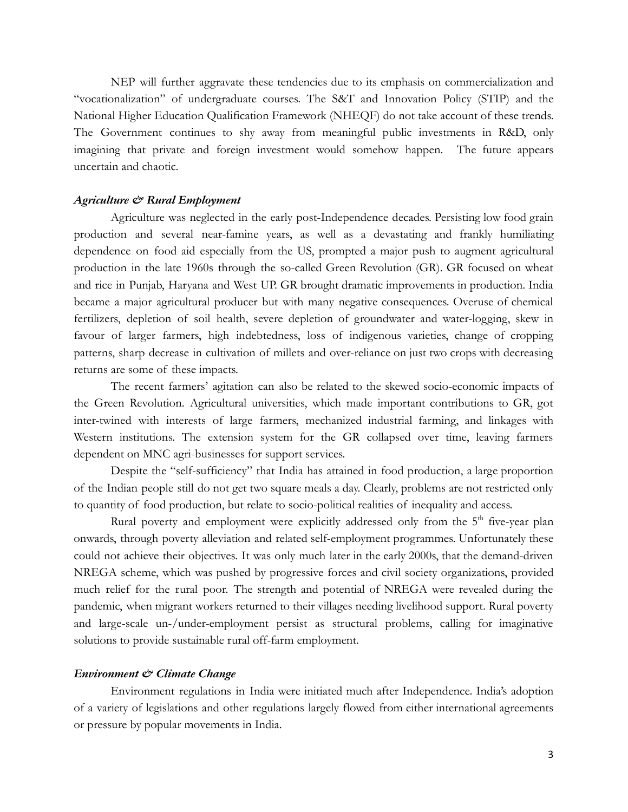NEP will further aggravate these tendencies due to its emphasis on commercialization and "vocationalization" of undergraduate courses. The S&T and Innovation Policy (STIP) and the National Higher Education Qualification Framework (NHEQF) do not take account of these trends. The Government continues to shy away from meaningful public investments in R&D, only imagining that private and foreign investment would somehow happen. The future appears uncertain and chaotic.

### *Agriculture & Rural Employment*

Agriculture was neglected in the early post-Independence decades. Persisting low food grain production and several near-famine years, as well as a devastating and frankly humiliating dependence on food aid especially from the US, prompted a major push to augment agricultural production in the late 1960s through the so-called Green Revolution (GR). GR focused on wheat and rice in Punjab, Haryana and West UP. GR brought dramatic improvements in production. India became a major agricultural producer but with many negative consequences. Overuse of chemical fertilizers, depletion of soil health, severe depletion of groundwater and water-logging, skew in favour of larger farmers, high indebtedness, loss of indigenous varieties, change of cropping patterns, sharp decrease in cultivation of millets and over-reliance on just two crops with decreasing returns are some of these impacts.

The recent farmers' agitation can also be related to the skewed socio-economic impacts of the Green Revolution. Agricultural universities, which made important contributions to GR, got inter-twined with interests of large farmers, mechanized industrial farming, and linkages with Western institutions. The extension system for the GR collapsed over time, leaving farmers dependent on MNC agri-businesses for support services.

Despite the "self-sufficiency" that India has attained in food production, a large proportion of the Indian people still do not get two square meals a day. Clearly, problems are not restricted only to quantity of food production, but relate to socio-political realities of inequality and access.

Rural poverty and employment were explicitly addressed only from the 5<sup>th</sup> five-year plan onwards, through poverty alleviation and related self-employment programmes. Unfortunately these could not achieve their objectives. It was only much later in the early 2000s, that the demand-driven NREGA scheme, which was pushed by progressive forces and civil society organizations, provided much relief for the rural poor. The strength and potential of NREGA were revealed during the pandemic, when migrant workers returned to their villages needing livelihood support. Rural poverty and large-scale un-/under-employment persist as structural problems, calling for imaginative solutions to provide sustainable rural off-farm employment.

#### *Environment & Climate Change*

Environment regulations in India were initiated much after Independence. India's adoption of a variety of legislations and other regulations largely flowed from either international agreements or pressure by popular movements in India.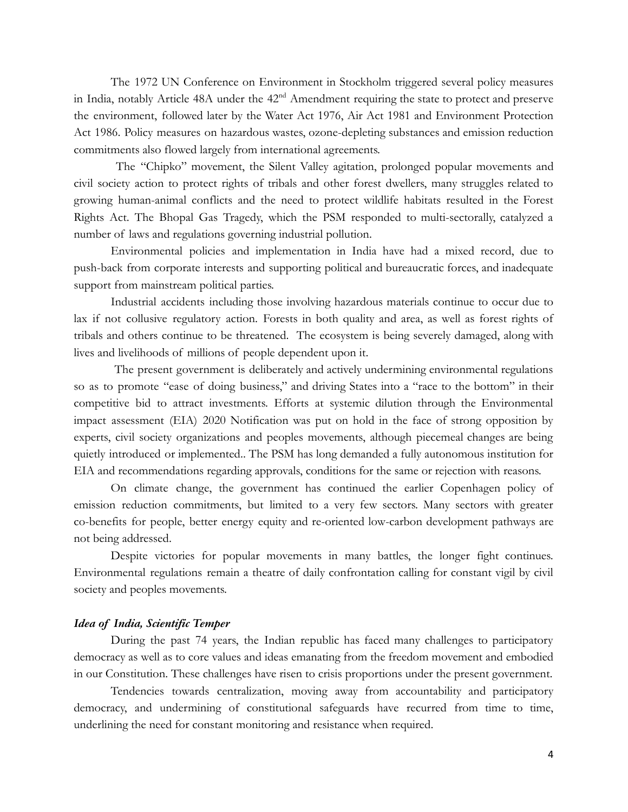The 1972 UN Conference on Environment in Stockholm triggered several policy measures in India, notably Article 48A under the 42<sup>nd</sup> Amendment requiring the state to protect and preserve the environment, followed later by the Water Act 1976, Air Act 1981 and Environment Protection Act 1986. Policy measures on hazardous wastes, ozone-depleting substances and emission reduction commitments also flowed largely from international agreements.

The "Chipko" movement, the Silent Valley agitation, prolonged popular movements and civil society action to protect rights of tribals and other forest dwellers, many struggles related to growing human-animal conflicts and the need to protect wildlife habitats resulted in the Forest Rights Act. The Bhopal Gas Tragedy, which the PSM responded to multi-sectorally, catalyzed a number of laws and regulations governing industrial pollution.

Environmental policies and implementation in India have had a mixed record, due to push-back from corporate interests and supporting political and bureaucratic forces, and inadequate support from mainstream political parties.

Industrial accidents including those involving hazardous materials continue to occur due to lax if not collusive regulatory action. Forests in both quality and area, as well as forest rights of tribals and others continue to be threatened. The ecosystem is being severely damaged, along with lives and livelihoods of millions of people dependent upon it.

The present government is deliberately and actively undermining environmental regulations so as to promote "ease of doing business," and driving States into a "race to the bottom" in their competitive bid to attract investments. Efforts at systemic dilution through the Environmental impact assessment (EIA) 2020 Notification was put on hold in the face of strong opposition by experts, civil society organizations and peoples movements, although piecemeal changes are being quietly introduced or implemented.. The PSM has long demanded a fully autonomous institution for EIA and recommendations regarding approvals, conditions for the same or rejection with reasons.

On climate change, the government has continued the earlier Copenhagen policy of emission reduction commitments, but limited to a very few sectors. Many sectors with greater co-benefits for people, better energy equity and re-oriented low-carbon development pathways are not being addressed.

Despite victories for popular movements in many battles, the longer fight continues. Environmental regulations remain a theatre of daily confrontation calling for constant vigil by civil society and peoples movements.

## *Idea of India, Scientific Temper*

During the past 74 years, the Indian republic has faced many challenges to participatory democracy as well as to core values and ideas emanating from the freedom movement and embodied in our Constitution. These challenges have risen to crisis proportions under the present government.

Tendencies towards centralization, moving away from accountability and participatory democracy, and undermining of constitutional safeguards have recurred from time to time, underlining the need for constant monitoring and resistance when required.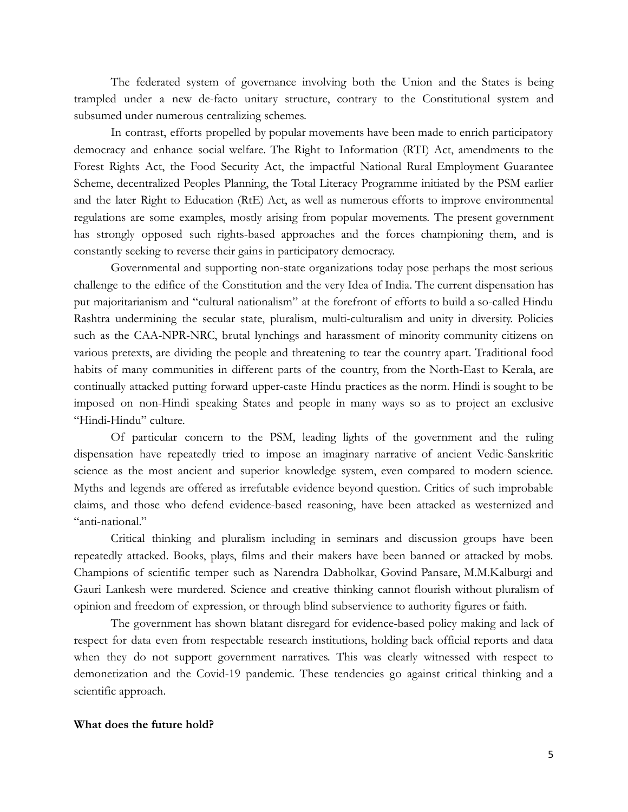The federated system of governance involving both the Union and the States is being trampled under a new de-facto unitary structure, contrary to the Constitutional system and subsumed under numerous centralizing schemes.

In contrast, efforts propelled by popular movements have been made to enrich participatory democracy and enhance social welfare. The Right to Information (RTI) Act, amendments to the Forest Rights Act, the Food Security Act, the impactful National Rural Employment Guarantee Scheme, decentralized Peoples Planning, the Total Literacy Programme initiated by the PSM earlier and the later Right to Education (RtE) Act, as well as numerous efforts to improve environmental regulations are some examples, mostly arising from popular movements. The present government has strongly opposed such rights-based approaches and the forces championing them, and is constantly seeking to reverse their gains in participatory democracy.

Governmental and supporting non-state organizations today pose perhaps the most serious challenge to the edifice of the Constitution and the very Idea of India. The current dispensation has put majoritarianism and "cultural nationalism" at the forefront of efforts to build a so-called Hindu Rashtra undermining the secular state, pluralism, multi-culturalism and unity in diversity. Policies such as the CAA-NPR-NRC, brutal lynchings and harassment of minority community citizens on various pretexts, are dividing the people and threatening to tear the country apart. Traditional food habits of many communities in different parts of the country, from the North-East to Kerala, are continually attacked putting forward upper-caste Hindu practices as the norm. Hindi is sought to be imposed on non-Hindi speaking States and people in many ways so as to project an exclusive "Hindi-Hindu" culture.

Of particular concern to the PSM, leading lights of the government and the ruling dispensation have repeatedly tried to impose an imaginary narrative of ancient Vedic-Sanskritic science as the most ancient and superior knowledge system, even compared to modern science. Myths and legends are offered as irrefutable evidence beyond question. Critics of such improbable claims, and those who defend evidence-based reasoning, have been attacked as westernized and "anti-national."

Critical thinking and pluralism including in seminars and discussion groups have been repeatedly attacked. Books, plays, films and their makers have been banned or attacked by mobs. Champions of scientific temper such as Narendra Dabholkar, Govind Pansare, M.M.Kalburgi and Gauri Lankesh were murdered. Science and creative thinking cannot flourish without pluralism of opinion and freedom of expression, or through blind subservience to authority figures or faith.

The government has shown blatant disregard for evidence-based policy making and lack of respect for data even from respectable research institutions, holding back official reports and data when they do not support government narratives. This was clearly witnessed with respect to demonetization and the Covid-19 pandemic. These tendencies go against critical thinking and a scientific approach.

#### **What does the future hold?**